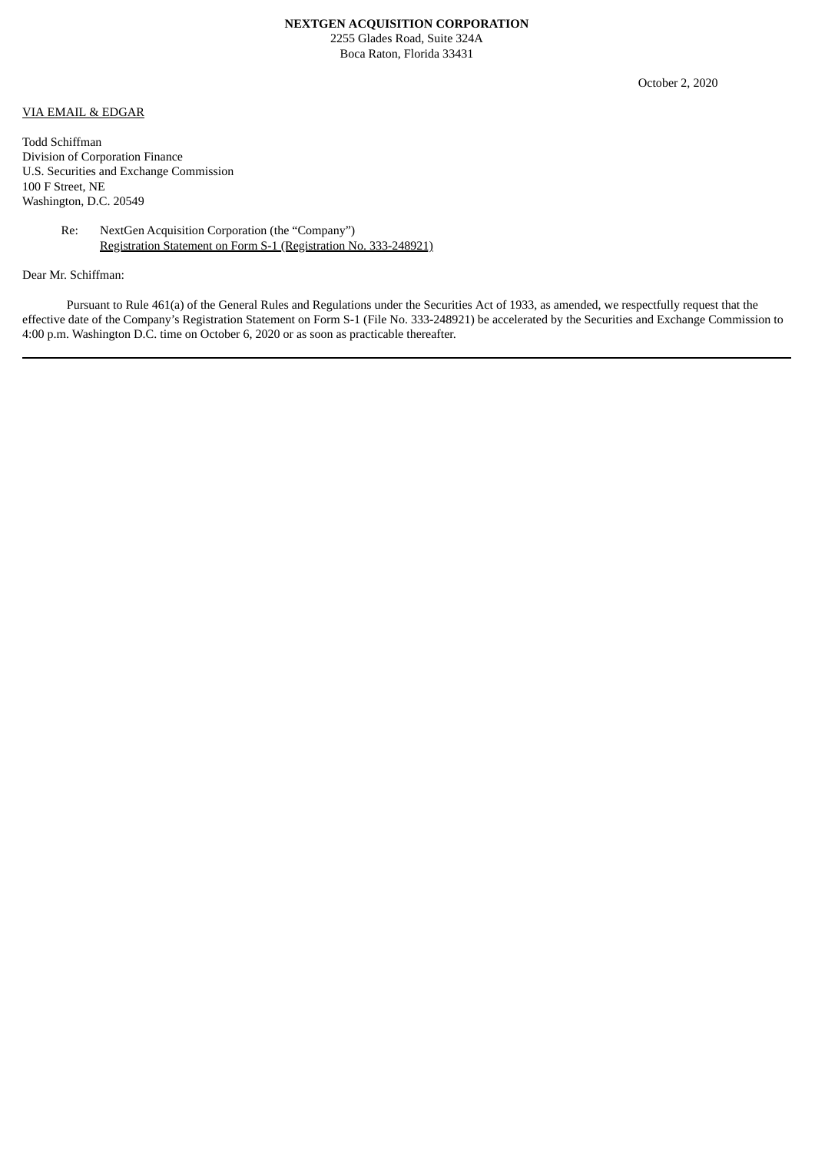## **NEXTGEN ACQUISITION CORPORATION**

2255 Glades Road, Suite 324A Boca Raton, Florida 33431

## VIA EMAIL & EDGAR

Todd Schiffman Division of Corporation Finance U.S. Securities and Exchange Commission 100 F Street, NE Washington, D.C. 20549

> Re: NextGen Acquisition Corporation (the "Company") Registration Statement on Form S-1 (Registration No. 333-248921)

## Dear Mr. Schiffman:

Pursuant to Rule 461(a) of the General Rules and Regulations under the Securities Act of 1933, as amended, we respectfully request that the effective date of the Company's Registration Statement on Form S-1 (File No. 333-248921) be accelerated by the Securities and Exchange Commission to 4:00 p.m. Washington D.C. time on October 6, 2020 or as soon as practicable thereafter.

October 2, 2020